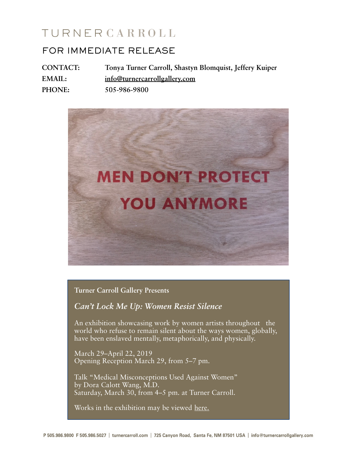# TURNERCARROLL

# FOR IMMEDIATE RELEASE

**CONTACT: Tonya Turner Carroll, Shastyn Blomquist, Jeffery Kuiper EMAIL: [info@turnercarrollgallery.com](mailto:info@turnercarrollgallery.com) PHONE: 505-986-9800**



**Turner Carroll Gallery Presents**

*Can't Lock Me Up: Women Resist Silence*

An exhibition showcasing work by women artists throughout the world who refuse to remain silent about the ways women, globally, have been enslaved mentally, metaphorically, and physically.

March 29–April 22, 2019 Opening Reception March 29, from 5–7 pm.

Talk "Medical Misconceptions Used Against Women" by Dora Calott Wang, M.D. Saturday, March 30, from 4–5 pm. at Turner Carroll.

Works in the exhibition may be viewed [here.](https://www.turnercarrollgallery.com/product-tag/cant-lock-me-up/)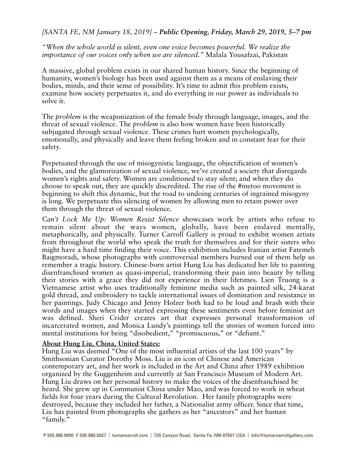## *[SANTA FE, NM January 18, 2019] – Public Opening, Friday, March 29, 2019, 5–7 pm*

*"When the whole world is silent, even one voice becomes powerful. We realize the importance of our voices only when we are silenced."* Malala Yousafzai, Pakistan

A massive, global problem exists in our shared human history. Since the beginning of humanity, women's biology has been used against them as a means of enslaving their bodies, minds, and their sense of possibility. It's time to admit this problem exists, examine how society perpetuates it, and do everything in our power as individuals to solve it.

The *problem* is the weaponization of the female body through language, images, and the threat of sexual violence. The *problem* is also how women have been historically subjugated through sexual violence. These crimes hurt women psychologically, emotionally, and physically and leave them feeling broken and in constant fear for their safety.

Perpetuated through the use of misogynistic language, the objectification of women's bodies, and the glamorization of sexual violence, we've created a society that disregards women's rights and safety. Women are conditioned to stay silent; and when they do choose to speak out, they are quickly discredited. The rise of the #metoo movement is beginning to shift this dynamic, but the road to undoing centuries of ingrained misogyny is long. We perpetuate this silencing of women by allowing men to retain power over them through the threat of sexual violence.

*Can't Lock Me Up: Women Resist Silence* showcases work by artists who refuse to remain silent about the ways women, globally, have been enslaved mentally, metaphorically, and physically. Turner Carroll Gallery is proud to exhibit women artists from throughout the world who speak the truth for themselves and for their sisters who might have a hard time finding their voice. This exhibition includes Iranian artist Fatemeh Baigmoradi, whose photographs with controversial members burned out of them help us remember a tragic history. Chinese-born artist Hung Liu has dedicated her life to painting disenfranchised women as quasi-imperial, transforming their pain into beauty by telling their stories with a grace they did not experience in their lifetimes. Lien Truong is a Vietnamese artist who uses traditionally feminine media such as painted silk, 24-karat gold thread, and embroidery to tackle international issues of domination and resistance in her paintings. Judy Chicago and Jenny Holzer both had to be loud and brash with their words and images when they started expressing these sentiments even before feminist art was defined. Sheri Crider creates art that expresses personal transformation of incarcerated women, and Monica Lundy's paintings tell the stories of women forced into mental institutions for being "disobedient," "promiscuous," or "defiant."

#### **About Hung Liu, China, United States:**

Hung Liu was deemed "One of the most influential artists of the last 100 years" by Smithsonian Curator Dorothy Moss. Liu is an icon of Chinese and American contemporary art, and her work is included in the Art and China after 1989 exhibition organized by the Guggenheim and currently at San Francisco Museum of Modern Art. Hung Liu draws on her personal history to make the voices of the disenfranchised be heard. She grew up in Communist China under Mao, and was forced to work in wheat fields for four years during the Cultural Revolution. Her family photographs were destroyed, because they included her father, a Nationalist army officer. Since that time, Liu has painted from photographs she gathers as her "ancestors" and her human "family."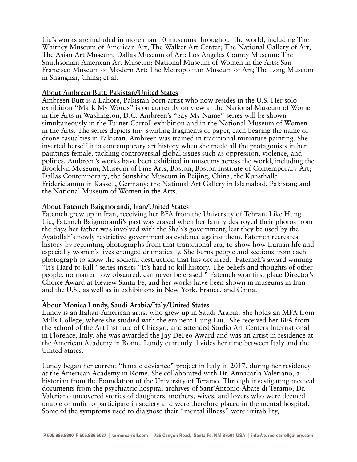Liu's works are included in more than 40 museums throughout the world, including The Whitney Museum of American Art; The Walker Art Center; The National Gallery of Art; The Asian Art Museum; Dallas Museum of Art; Los Angeles County Museum; The Smithsonian American Art Museum; National Museum of Women in the Arts; San Francisco Museum of Modern Art; The Metropolitan Museum of Art; The Long Museum in Shanghai, China; et al.

#### **About Ambreen Butt, Pakistan/United States**

Ambreen Butt is a Lahore, Pakistan born artist who now resides in the U.S. Her solo exhibition "Mark My Words" is on currently on view at the National Museum of Women in the Arts in Washington, D.C. Ambreen's "Say My Name" series will be shown simultaneously in the Turner Carroll exhibition and in the National Museum of Women in the Arts. The series depicts tiny swirling fragments of paper, each bearing the name of drone casualties in Pakistan. Ambreen was trained in traditional miniature painting. She inserted herself into contemporary art history when she made all the protagonists in her paintings female, tackling controversial global issues such as oppression, violence, and politics. Ambreen's works have been exhibited in museums across the world, including the Brooklyn Museum; Museum of Fine Arts, Boston; Boston Institute of Contemporary Art; Dallas Contemporary; the Sunshine Museum in Beijing, China; the Kunsthalle Fridericianum in Kassell, Germany; the National Art Gallery in Islamabad, Pakistan; and the National Museum of Women in the Arts.

#### **About Fatemeh Baigmorandi, Iran/United States**

Fatemeh grew up in Iran, receiving her BFA from the University of Tehran. Like Hung Liu, Fatemeh Baigmorandi's past was erased when her family destroyed their photos from the days her father was involved with the Shah's government, lest they be used by the Ayatollah's newly restrictive government as evidence against them. Fatemeh recreates history by reprinting photographs from that transitional era, to show how Iranian life and especially women's lives changed dramatically. She burns people and sections from each photograph to show the societal destruction that has occurred. Fatemeh's award winning "It's Hard to Kill" series insists "It's hard to kill history. The beliefs and thoughts of other people, no matter how obscured, can never be erased." Fatemeh won first place Director's Choice Award at Review Santa Fe, and her works have been shown in museums in Iran and the U.S., as well as in exhibitions in New York, France, and China.

# **About Monica Lundy, Saudi Arabia/Italy/United States**

Lundy is an Italian-American artist who grew up in Saudi Arabia. She holds an MFA from Mills College, where she studied with the eminent Hung Liu. She received her BFA from the School of the Art Institute of Chicago, and attended Studio Art Centers International in Florence, Italy. She was awarded the Jay DeFeo Award and was an artist in residence at the American Academy in Rome. Lundy currently divides her time between Italy and the United States.

Lundy began her current "female deviance" project in Italy in 2017, during her residency at the American Academy in Rome. She collaborated with Dr. Annacarla Valeriano, a historian from the Foundation of the University of Teramo. Through investigating medical documents from the psychiatric hospital archives of Sant'Antonio Abate di Teramo, Dr. Valeriano uncovered stories of daughters, mothers, wives, and lovers who were deemed unable or unfit to participate in society and were therefore placed in the mental hospital. Some of the symptoms used to diagnose their "mental illness" were irritability,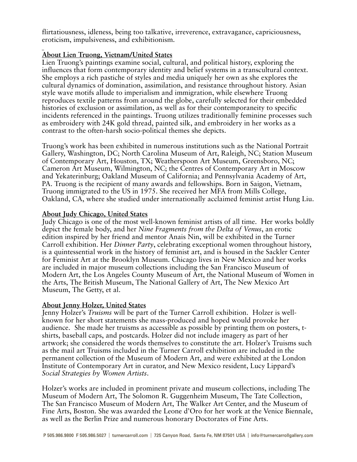flirtatiousness, idleness, being too talkative, irreverence, extravagance, capriciousness, eroticism, impulsiveness, and exhibitionism.

## **About Lien Truong, Vietnam/United States**

Lien Truong's paintings examine social, cultural, and political history, exploring the influences that form contemporary identity and belief systems in a transcultural context. She employs a rich pastiche of styles and media uniquely her own as she explores the cultural dynamics of domination, assimilation, and resistance throughout history. Asian style wave motifs allude to imperialism and immigration, while elsewhere Truong reproduces textile patterns from around the globe, carefully selected for their embedded histories of exclusion or assimilation, as well as for their contemporaneity to specific incidents referenced in the paintings. Truong utilizes traditionally feminine processes such as embroidery with 24K gold thread, painted silk, and embroidery in her works as a contrast to the often-harsh socio-political themes she depicts.

Truong's work has been exhibited in numerous institutions such as the National Portrait Gallery, Washington, DC; North Carolina Museum of Art, Raleigh, NC; Station Museum of Contemporary Art, Houston, TX; Weatherspoon Art Museum, Greensboro, NC; Cameron Art Museum, Wilmington, NC; the Centres of Contemporary Art in Moscow and Yekaterinburg; Oakland Museum of California; and Pennsylvania Academy of Art, PA. Truong is the recipient of many awards and fellowships. Born in Saigon, Vietnam, Truong immigrated to the US in 1975. She received her MFA from Mills College, Oakland, CA, where she studied under internationally acclaimed feminist artist Hung Liu.

#### **About Judy Chicago, United States**

Judy Chicago is one of the most well-known feminist artists of all time. Her works boldly depict the female body, and her *Nine Fragments from the Delta of Venus*, an erotic edition inspired by her friend and mentor Anais Nin, will be exhibited in the Turner Carroll exhibition. Her *Dinner Party*, celebrating exceptional women throughout history, is a quintessential work in the history of feminist art, and is housed in the Sackler Center for Feminist Art at the Brooklyn Museum. Chicago lives in New Mexico and her works are included in major museum collections including the San Francisco Museum of Modern Art, the Los Angeles County Museum of Art, the National Museum of Women in the Arts, The British Museum, The National Gallery of Art, The New Mexico Art Museum, The Getty, et al.

#### **About Jenny Holzer, United States**

Jenny Holzer's *Truisms* will be part of the Turner Carroll exhibition. Holzer is wellknown for her short statements she mass-produced and hoped would provoke her audience. She made her truisms as accessible as possible by printing them on posters, tshirts, baseball caps, and postcards. Holzer did not include imagery as part of her artwork; she considered the words themselves to constitute the art. Holzer's Truisms such as the mail art Truisms included in the Turner Carroll exhibition are included in the permanent collection of the Museum of Modern Art, and were exhibited at the London Institute of Contemporary Art in curator, and New Mexico resident, Lucy Lippard's *Social Strategies by Women Artists*.

Holzer's works are included in prominent private and museum collections, including The Museum of Modern Art, The Solomon R. Guggenheim Museum, The Tate Collection, The San Francisco Museum of Modern Art, The Walker Art Center, and the Museum of Fine Arts, Boston. She was awarded the Leone d'Oro for her work at the Venice Biennale, as well as the Berlin Prize and numerous honorary Doctorates of Fine Arts.